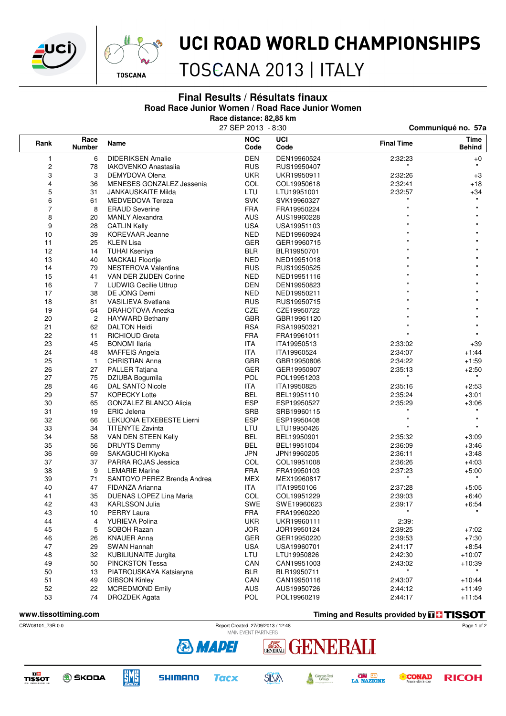



### UCI ROAD WORLD CHAMPIONSHIPS

TOSCANA 2013 | ITALY

#### **Final Results / Résultats finaux Road Race Junior Women / Road Race Junior Women**

**Race distance: 82,85 km**

|                  |                       |                               | 27 SEP 2013 - 8:30 |             | Communiqué no. 57a |                       |  |
|------------------|-----------------------|-------------------------------|--------------------|-------------|--------------------|-----------------------|--|
| Rank             | Race<br><b>Number</b> | Name                          | <b>NOC</b><br>Code | UCI<br>Code | <b>Final Time</b>  | Time<br><b>Behind</b> |  |
| 1                | 6                     | <b>DIDERIKSEN Amalie</b>      | <b>DEN</b>         | DEN19960524 | 2:32:23            | +0                    |  |
| $\boldsymbol{2}$ | 78                    | IAKOVENKO Anastasija          | <b>RUS</b>         | RUS19950407 |                    | $\mathbf{H}$          |  |
| 3                | 3                     | DEMYDOVA Olena                | <b>UKR</b>         | UKR19950911 | 2:32:26            | $+3$                  |  |
| 4                | 36                    | MENESES GONZALEZ Jessenia     | COL                | COL19950618 | 2:32:41            | $+18$                 |  |
| 5                | 31                    | <b>JANKAUSKAITE Milda</b>     | LTU                | LTU19951001 | 2:32:57            | +34                   |  |
| 6                | 61                    | MEDVEDOVA Tereza              | <b>SVK</b>         | SVK19960327 | $\mathbf{u}$       | $\mathbf{u}$          |  |
| $\overline{7}$   | 8                     | <b>ERAUD Severine</b>         | <b>FRA</b>         | FRA19950224 | Ħ                  | $\mathbf{u}$          |  |
| 8                | 20                    | <b>MANLY Alexandra</b>        | <b>AUS</b>         | AUS19960228 | $\mathbf{u}$       |                       |  |
| 9                | 28                    | <b>CATLIN Kelly</b>           | USA                | USA19951103 | $\mathbf{u}$       |                       |  |
| 10               | 39                    | <b>KOREVAAR Jeanne</b>        | NED                | NED19960924 |                    |                       |  |
| 11               | 25                    | <b>KLEIN Lisa</b>             | <b>GER</b>         | GER19960715 | $\mathbf{u}$       |                       |  |
| 12               | 14                    | <b>TUHAI Kseniya</b>          | BLR                | BLR19950701 | $\mathbf{u}$       |                       |  |
| 13               | 40                    | <b>MACKAIJ Floortje</b>       | <b>NED</b>         | NED19951018 | $\mathbf{u}$       |                       |  |
| 14               | 79                    | NESTEROVA Valentina           | <b>RUS</b>         | RUS19950525 | $\mathbf{u}$       |                       |  |
| 15               | 41                    | VAN DER ZIJDEN Corine         | NED                | NED19951116 | $\mathbf{u}$       |                       |  |
| 16               | $\overline{7}$        | <b>LUDWIG Cecilie Uttrup</b>  | DEN                | DEN19950823 | $\mathbf{u}$       |                       |  |
| 17               | 38                    | DE JONG Demi                  | NED                | NED19950211 | Ħ                  |                       |  |
| 18               | 81                    | <b>VASILIEVA Svetlana</b>     | <b>RUS</b>         | RUS19950715 | $\mathbf{u}$       |                       |  |
| 19               | 64                    | DRAHOTOVA Anezka              | CZE                | CZE19950722 | $\mathbf{u}$       |                       |  |
| 20               | 2                     | <b>HAYWARD Bethany</b>        | GBR                | GBR19961120 | $\mathbf{u}$       |                       |  |
| 21               | 62                    | <b>DALTON Heidi</b>           | <b>RSA</b>         | RSA19950321 | $\mathbf{u}$       | $\mathbf{u}$          |  |
| 22               | 11                    | RICHIOUD Greta                | <b>FRA</b>         | FRA19961011 | $\mathbf{u}$       | $\mathbf{u}$          |  |
| 23               | 45                    | <b>BONOMI</b> Ilaria          | ITA.               | ITA19950513 | 2:33:02            | +39                   |  |
| 24               | 48                    | <b>MAFFEIS Angela</b>         | ITA                | ITA19960524 | 2:34:07            | $+1.44$               |  |
| 25               | $\mathbf{1}$          | <b>CHRISTIAN Anna</b>         | GBR                | GBR19950806 | 2:34:22            | $+1:59$               |  |
| 26               | 27                    | PALLER Tatjana                | <b>GER</b>         | GER19950907 | 2:35:13            | $+2:50$               |  |
| 27               | 75                    | DZIUBA Bogumila               | POL                | POL19951203 |                    |                       |  |
| 28               | 46                    | DAL SANTO Nicole              | ITA.               | ITA19950825 | 2:35:16            | $+2:53$               |  |
| 29               | 57                    | <b>KOPECKY Lotte</b>          | <b>BEL</b>         | BEL19951110 | 2:35:24            | $+3:01$               |  |
| 30               | 65                    | <b>GONZALEZ BLANCO Alicia</b> | <b>ESP</b>         | ESP19950527 | 2:35:29            | $+3:06$               |  |
| 31               | 19                    | <b>ERIC Jelena</b>            | <b>SRB</b>         | SRB19960115 |                    |                       |  |
| 32               | 66                    | LEKUONA ETXEBESTE Lierni      | <b>ESP</b>         | ESP19950408 | $\mathbf{u}$       | $\pmb{\mathsf{H}}$    |  |
| 33               | 34                    | <b>TITENYTE Zavinta</b>       | LTU                | LTU19950426 |                    |                       |  |
| 34               | 58                    | VAN DEN STEEN Kelly           | <b>BEL</b>         | BEL19950901 | 2:35:32            | $+3:09$               |  |
| 35               | 56                    | <b>DRUYTS Demmy</b>           | <b>BEL</b>         | BEL19951004 | 2:36:09            | $+3:46$               |  |
| 36               | 69                    | SAKAGUCHI Kiyoka              | JPN                | JPN19960205 | 2:36:11            | $+3:48$               |  |
| 37               | 37                    | PARRA ROJAS Jessica           | COL                | COL19951008 | 2:36:26            | $+4:03$               |  |
| 38               | 9                     | <b>LEMARIE Marine</b>         | <b>FRA</b>         | FRA19950103 | 2:37:23            | $+5:00$               |  |
| 39               | 71                    | SANTOYO PEREZ Brenda Andrea   | MEX                | MEX19960817 |                    |                       |  |
| 40               | 47                    | FIDANZA Arianna               | ITA.               | ITA19950106 | 2:37:28            | +5:05                 |  |
| 41               | 35                    | DUENAS LOPEZ Lina Maria       | COL                | COL19951229 | 2:39:03            | $+6.40$               |  |
| 42               | 43                    | <b>KARLSSON Julia</b>         | SWE                | SWE19960623 | 2:39:17            | $+6.54$               |  |
| 43               | 10                    | <b>PERRY Laura</b>            | <b>FRA</b>         | FRA19960220 | $\mathbf{u}$       | $\mathbf{H}$          |  |
| 44               | 4                     | YURIEVA Polina                | <b>UKR</b>         | UKR19960111 | 2:39:              |                       |  |
| 45               | 5                     | SOBOH Razan                   | <b>JOR</b>         | JOR19950124 | 2:39:25            | $+7:02$               |  |
| 46               | 26                    | <b>KNAUER Anna</b>            | <b>GER</b>         | GER19950220 | 2:39:53            | $+7:30$               |  |
| 47               | 29                    | SWAN Hannah                   | <b>USA</b>         | USA19960701 | 2:41:17            | $+8:54$               |  |
| 48               | 32                    | <b>KUBILIUNAITE Jurgita</b>   | LTU                | LTU19950826 | 2:42:30            | $+10:07$              |  |
| 49               | 50                    | <b>PINCKSTON Tessa</b>        | CAN                | CAN19951003 | 2:43:02            | +10:39                |  |
| 50               | 13                    | PIATROUSKAYA Katsiaryna       | <b>BLR</b>         | BLR19950711 |                    |                       |  |
| 51               | 49                    | <b>GIBSON Kinley</b>          | CAN                | CAN19950116 | 2:43:07            | $+10:44$              |  |
| 52               | 22                    | <b>MCREDMOND Emily</b>        | <b>AUS</b>         | AUS19950726 | 2:44:12            | $+11:49$              |  |
| 53               | 74                    | DROZDEK Agata                 | <b>POL</b>         | POL19960219 | 2:44:17            | $+11:54$              |  |
|                  |                       |                               |                    |             |                    |                       |  |

**WWW.tissottiming.com Timing and Results provided by THSSOT** 

CRW08101\_73R 0.0 Report Created 27/09/2013 / 12:48



**DC**<br>TISSOT **O** ŠKODA



**EME** 



GENERALI

**ON LE**<br>LA NAZIONE

ENERALI



Page 1 of 2